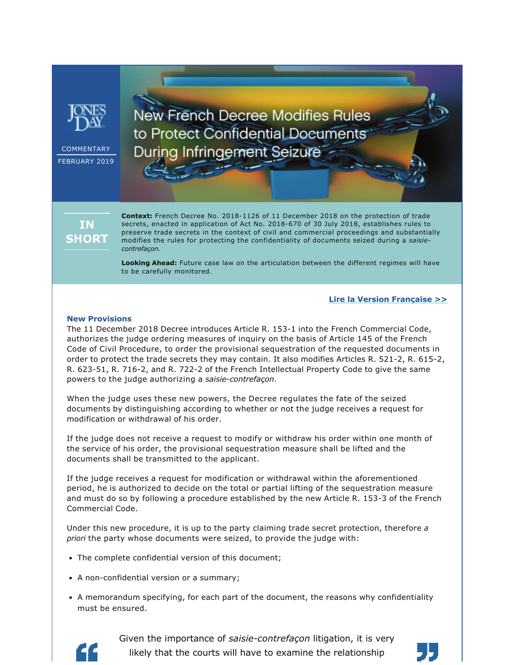

**COMMENTARY** FEBRUARY 2019

**New French Decree Modifies Rules** to Protect Confidential Documents During Infringement Seizure

ΙN SHORT **Context:** French Decree No. 2018-1126 of 11 December 2018 on the protection of trade secrets, enacted in application of Act No. 2018-670 of 30 July 2018, establishes rules to preserve trade secrets in the context of civil and commercial proceedings and substantially modifies the rules for protecting the confidentiality of documents seized during a *saisiecontrefaçon*.

**Looking Ahead:** Future case law on the articulation between the different regimes will have to be carefully monitored.

## **[Lire la Version Française >>](https://jonesday-ecommunications.com/292/3401/landing-pages/protection-fr.asp)**

## **New Provisions**

The 11 December 2018 Decree introduces Article R. 153-1 into the French Commercial Code, authorizes the judge ordering measures of inquiry on the basis of Article 145 of the French Code of Civil Procedure, to order the provisional sequestration of the requested documents in order to protect the trade secrets they may contain. It also modifies Articles R. 521-2, R. 615-2, R. 623-51, R. 716-2, and R. 722-2 of the French Intellectual Property Code to give the same powers to the judge authorizing a *saisie-contrefaçon*.

When the judge uses these new powers, the Decree regulates the fate of the seized documents by distinguishing according to whether or not the judge receives a request for modification or withdrawal of his order.

If the judge does not receive a request to modify or withdraw his order within one month of the service of his order, the provisional sequestration measure shall be lifted and the documents shall be transmitted to the applicant.

If the judge receives a request for modification or withdrawal within the aforementioned period, he is authorized to decide on the total or partial lifting of the sequestration measure and must do so by following a procedure established by the new Article R. 153-3 of the French Commercial Code.

Under this new procedure, it is up to the party claiming trade secret protection, therefore *a priori* the party whose documents were seized, to provide the judge with:

- The complete confidential version of this document;
- A non-confidential version or a summary;
- A memorandum specifying, for each part of the document, the reasons why confidentiality must be ensured.



Given the importance of *saisie-contrefaçon* litigation, it is very likely that the courts will have to examine the relationship

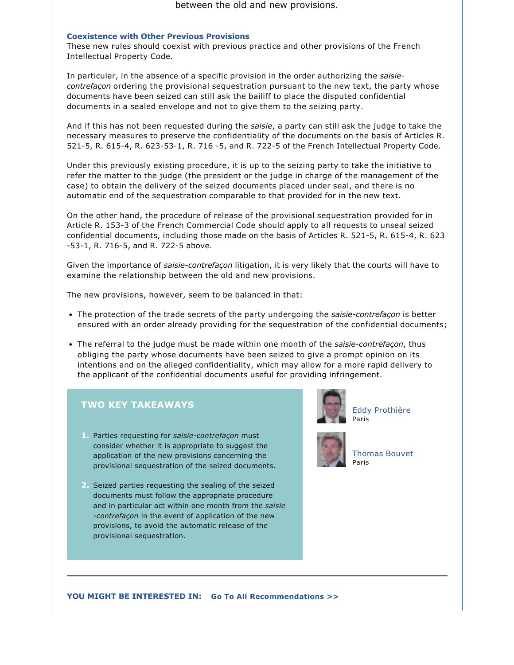between the old and new provisions.

## **Coexistence with Other Previous Provisions**

These new rules should coexist with previous practice and other provisions of the French Intellectual Property Code.

In particular, in the absence of a specific provision in the order authorizing the *saisiecontrefaçon* ordering the provisional sequestration pursuant to the new text, the party whose documents have been seized can still ask the bailiff to place the disputed confidential documents in a sealed envelope and not to give them to the seizing party.

And if this has not been requested during the *saisie*, a party can still ask the judge to take the necessary measures to preserve the confidentiality of the documents on the basis of Articles R. 521-5, R. 615-4, R. 623-53-1, R. 716 -5, and R. 722-5 of the French Intellectual Property Code.

Under this previously existing procedure, it is up to the seizing party to take the initiative to refer the matter to the judge (the president or the judge in charge of the management of the case) to obtain the delivery of the seized documents placed under seal, and there is no automatic end of the sequestration comparable to that provided for in the new text.

On the other hand, the procedure of release of the provisional sequestration provided for in Article R. 153-3 of the French Commercial Code should apply to all requests to unseal seized confidential documents, including those made on the basis of Articles R. 521-5, R. 615-4, R. 623 -53-1, R. 716-5, and R. 722-5 above.

Given the importance of *saisiecontrefaçon* litigation, it is very likely that the courts will have to examine the relationship between the old and new provisions.

The new provisions, however, seem to be balanced in that:

- The protection of the trade secrets of the party undergoing the *saisie-contrefaçon* is better ensured with an order already providing for the sequestration of the confidential documents;
- The referral to the judge must be made within one month of the *saisie-contrefaçon*, thus obliging the party whose documents have been seized to give a prompt opinion on its intentions and on the alleged confidentiality, which may allow for a more rapid delivery to the applicant of the confidential documents useful for providing infringement.

## **TWO KEY TAKEAWAYS**

- **1.** Parties requesting for *saisie-contrefaçon* must consider whether it is appropriate to suggest the application of the new provisions concerning the provisional sequestration of the seized documents.
- **2.** Seized parties requesting the sealing of the seized documents must follow the appropriate procedure and in particular act within one month from the *saisie contrefaçon* in the event of application of the new provisions, to avoid the automatic release of the provisional sequestration.



[Eddy Prothière](https://www.jonesday.com/eprothiere/) Paris



[Thomas Bouvet](https://www.jonesday.com/tbouvet/) Paris

**YOU MIGHT BE INTERESTED IN: [Go To All Recommendations >>](https://www.jonesday.com/intellectual_property/?section=Publications)**